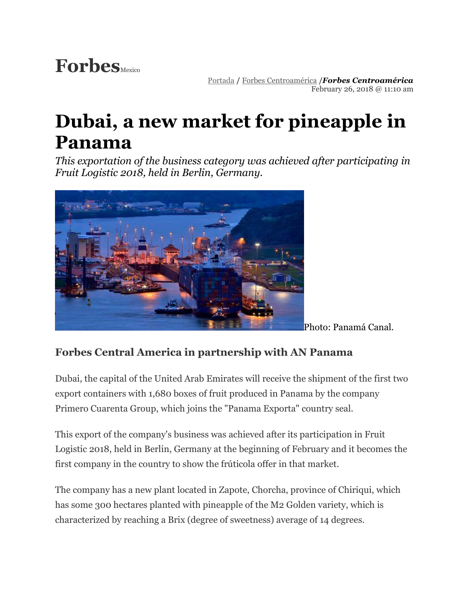## Forbes<sub>Mexico</sub>

[Portada](https://www.forbes.com.mx/) **/** [Forbes Centroamérica](https://www.forbes.com.mx/forbes-latam/) **/***[Forbes Centroamérica](https://www.forbes.com.mx/author/forbes-centroamerica/)* February 26, 2018 @ 11:10 am

## **Dubai, a new market for pineapple in Panama**

*This exportation of the business category was achieved after participating in Fruit Logistic 2018, held in Berlin, Germany.*



Photo: Panamá Canal.

## **Forbes Central America in partnership with AN Panama**

Dubai, the capital of the United Arab Emirates will receive the shipment of the first two export containers with 1,680 boxes of fruit produced in Panama by the company Primero Cuarenta Group, which joins the "Panama Exporta" country seal.

This export of the company's business was achieved after its participation in Fruit Logistic 2018, held in Berlin, Germany at the beginning of February and it becomes the first company in the country to show the frúticola offer in that market.

The company has a new plant located in Zapote, Chorcha, province of Chiriqui, which has some 300 hectares planted with pineapple of the M2 Golden variety, which is characterized by reaching a Brix (degree of sweetness) average of 14 degrees.